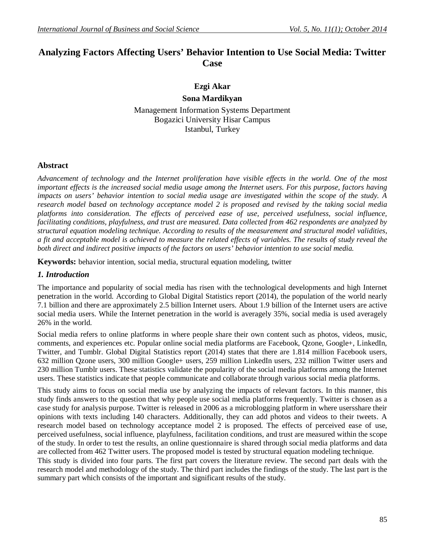# **Analyzing Factors Affecting Users' Behavior Intention to Use Social Media: Twitter Case**

# **Ezgi Akar Sona Mardikyan** Management Information Systems Department Bogazici University Hisar Campus

Istanbul, Turkey

## **Abstract**

*Advancement of technology and the Internet proliferation have visible effects in the world. One of the most important effects is the increased social media usage among the Internet users. For this purpose, factors having impacts on users' behavior intention to social media usage are investigated within the scope of the study. A research model based on technology acceptance model 2 is proposed and revised by the taking social media platforms into consideration. The effects of perceived ease of use, perceived usefulness, social influence, facilitating conditions, playfulness, and trust are measured. Data collected from 462 respondents are analyzed by structural equation modeling technique. According to results of the measurement and structural model validities, a fit and acceptable model is achieved to measure the related effects of variables. The results of study reveal the both direct and indirect positive impacts of the factors on users' behavior intention to use social media.* 

**Keywords:** behavior intention, social media, structural equation modeling, twitter

#### *1. Introduction*

The importance and popularity of social media has risen with the technological developments and high Internet penetration in the world. According to Global Digital Statistics report (2014), the population of the world nearly 7.1 billion and there are approximately 2.5 billion Internet users. About 1.9 billion of the Internet users are active social media users. While the Internet penetration in the world is averagely 35%, social media is used averagely 26% in the world.

Social media refers to online platforms in where people share their own content such as photos, videos, music, comments, and experiences etc. Popular online social media platforms are Facebook, Qzone, Google+, LinkedIn, Twitter, and Tumblr. Global Digital Statistics report (2014) states that there are 1.814 million Facebook users, 632 million Qzone users, 300 million Google+ users, 259 million LinkedIn users, 232 million Twitter users and 230 million Tumblr users. These statistics validate the popularity of the social media platforms among the Internet users. These statistics indicate that people communicate and collaborate through various social media platforms.

This study aims to focus on social media use by analyzing the impacts of relevant factors. In this manner, this study finds answers to the question that why people use social media platforms frequently. Twitter is chosen as a case study for analysis purpose. Twitter is released in 2006 as a microblogging platform in where usersshare their opinions with texts including 140 characters. Additionally, they can add photos and videos to their tweets. A research model based on technology acceptance model 2 is proposed. The effects of perceived ease of use, perceived usefulness, social influence, playfulness, facilitation conditions, and trust are measured within the scope of the study. In order to test the results, an online questionnaire is shared through social media platforms and data are collected from 462 Twitter users. The proposed model is tested by structural equation modeling technique.

This study is divided into four parts. The first part covers the literature review. The second part deals with the research model and methodology of the study. The third part includes the findings of the study. The last part is the summary part which consists of the important and significant results of the study.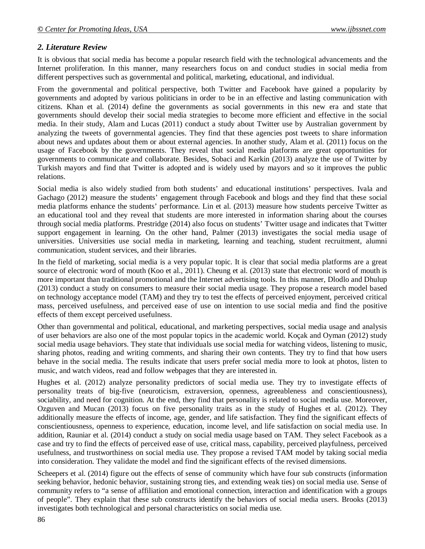## *2. Literature Review*

It is obvious that social media has become a popular research field with the technological advancements and the Internet proliferation. In this manner, many researchers focus on and conduct studies in social media from different perspectives such as governmental and political, marketing, educational, and individual.

From the governmental and political perspective, both Twitter and Facebook have gained a popularity by governments and adopted by various politicians in order to be in an effective and lasting communication with citizens. Khan et al. (2014) define the governments as social governments in this new era and state that governments should develop their social media strategies to become more efficient and effective in the social media. In their study, Alam and Lucas (2011) conduct a study about Twitter use by Australian government by analyzing the tweets of governmental agencies. They find that these agencies post tweets to share information about news and updates about them or about external agencies. In another study, Alam et al. (2011) focus on the usage of Facebook by the governments. They reveal that social media platforms are great opportunities for governments to communicate and collaborate. Besides, Sobaci and Karkin (2013) analyze the use of Twitter by Turkish mayors and find that Twitter is adopted and is widely used by mayors and so it improves the public relations.

Social media is also widely studied from both students' and educational institutions' perspectives. Ivala and Gachago (2012) measure the students' engagement through Facebook and blogs and they find that these social media platforms enhance the students' performance. Lin et al. (2013) measure how students perceive Twitter as an educational tool and they reveal that students are more interested in information sharing about the courses through social media platforms. Prestridge (2014) also focus on students' Twitter usage and indicates that Twitter support engagement in learning. On the other hand, Palmer (2013) investigates the social media usage of universities. Universities use social media in marketing, learning and teaching, student recruitment, alumni communication, student services, and their libraries.

In the field of marketing, social media is a very popular topic. It is clear that social media platforms are a great source of electronic word of mouth (Koo et al., 2011). Cheung et al. (2013) state that electronic word of mouth is more important than traditional promotional and the Internet advertising tools. In this manner, Dlodlo and Dhulup (2013) conduct a study on consumers to measure their social media usage. They propose a research model based on technology acceptance model (TAM) and they try to test the effects of perceived enjoyment, perceived critical mass, perceived usefulness, and perceived ease of use on intention to use social media and find the positive effects of them except perceived usefulness.

Other than governmental and political, educational, and marketing perspectives, social media usage and analysis of user behaviors are also one of the most popular topics in the academic world. Koçak and Oyman (2012) study social media usage behaviors. They state that individuals use social media for watching videos, listening to music, sharing photos, reading and writing comments, and sharing their own contents. They try to find that how users behave in the social media. The results indicate that users prefer social media more to look at photos, listen to music, and watch videos, read and follow webpages that they are interested in.

Hughes et al. (2012) analyze personality predictors of social media use. They try to investigate effects of personality treats of big-five (neuroticism, extraversion, openness, agreeableness and conscientiousness), sociability, and need for cognition. At the end, they find that personality is related to social media use. Moreover, Ozguven and Mucan (2013) focus on five personality traits as in the study of Hughes et al. (2012). They additionally measure the effects of income, age, gender, and life satisfaction. They find the significant effects of conscientiousness, openness to experience, education, income level, and life satisfaction on social media use. In addition, Rauniar et al. (2014) conduct a study on social media usage based on TAM. They select Facebook as a case and try to find the effects of perceived ease of use, critical mass, capability, perceived playfulness, perceived usefulness, and trustworthiness on social media use. They propose a revised TAM model by taking social media into consideration. They validate the model and find the significant effects of the revised dimensions.

Scheepers et al. (2014) figure out the effects of sense of community which have four sub constructs (information seeking behavior, hedonic behavior, sustaining strong ties, and extending weak ties) on social media use. Sense of community refers to "a sense of affiliation and emotional connection, interaction and identification with a groups of people". They explain that these sub constructs identify the behaviors of social media users. Brooks (2013) investigates both technological and personal characteristics on social media use.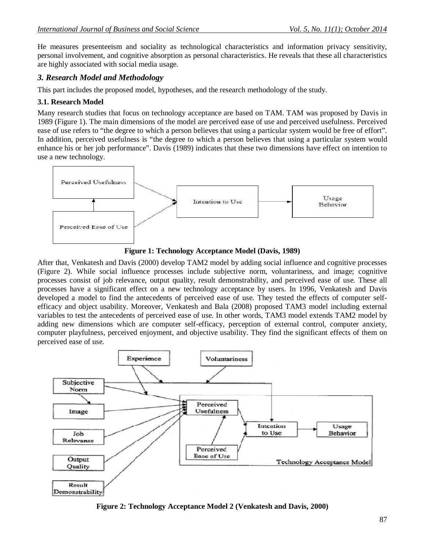He measures presenteeism and sociality as technological characteristics and information privacy sensitivity, personal involvement, and cognitive absorption as personal characteristics. He reveals that these all characteristics are highly associated with social media usage.

# *3. Research Model and Methodology*

This part includes the proposed model, hypotheses, and the research methodology of the study.

## **3.1. Research Model**

Many research studies that focus on technology acceptance are based on TAM. TAM was proposed by Davis in 1989 (Figure 1). The main dimensions of the model are perceived ease of use and perceived usefulness. Perceived ease of use refers to "the degree to which a person believes that using a particular system would be free of effort". In addition, perceived usefulness is "the degree to which a person believes that using a particular system would enhance his or her job performance". Davis (1989) indicates that these two dimensions have effect on intention to use a new technology.



**Figure 1: Technology Acceptance Model (Davis, 1989)**

After that, Venkatesh and Davis (2000) develop TAM2 model by adding social influence and cognitive processes (Figure 2). While social influence processes include subjective norm, voluntariness, and image; cognitive processes consist of job relevance, output quality, result demonstrability, and perceived ease of use. These all processes have a significant effect on a new technology acceptance by users. In 1996, Venkatesh and Davis developed a model to find the antecedents of perceived ease of use. They tested the effects of computer selfefficacy and object usability. Moreover, Venkatesh and Bala (2008) proposed TAM3 model including external variables to test the antecedents of perceived ease of use. In other words, TAM3 model extends TAM2 model by adding new dimensions which are computer self-efficacy, perception of external control, computer anxiety, computer playfulness, perceived enjoyment, and objective usability. They find the significant effects of them on perceived ease of use.



**Figure 2: Technology Acceptance Model 2 (Venkatesh and Davis, 2000)**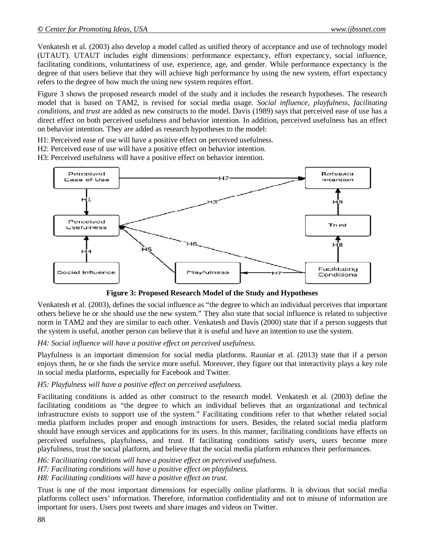Venkatesh et al. (2003) also develop a model called as unified theory of acceptance and use of technology model (UTAUT). UTAUT includes eight dimensions: performance expectancy, effort expectancy, social influence, facilitating conditions, voluntariness of use, experience, age, and gender. While performance expectancy is the degree of that users believe that they will achieve high performance by using the new system, effort expectancy refers to the degree of how much the using new system requires effort.

Figure 3 shows the proposed research model of the study and it includes the research hypotheses. The research model that is based on TAM2, is revised for social media usage. *Social influence*, *playfulness*, *facilitating conditions*, and *trust* are added as new constructs to the model. Davis (1989) says that perceived ease of use has a direct effect on both perceived usefulness and behavior intention. In addition, perceived usefulness has an effect on behavior intention. They are added as research hypotheses to the model:

H1: Perceived ease of use will have a positive effect on perceived usefulness.

H2: Perceived ease of use will have a positive effect on behavior intention.

H3: Perceived usefulness will have a positive effect on behavior intention.



**Figure 3: Proposed Research Model of the Study and Hypotheses**

Venkatesh et al. (2003), defines the social influence as "the degree to which an individual perceives that important others believe he or she should use the new system." They also state that social influence is related to subjective norm in TAM2 and they are similar to each other. Venkatesh and Davis (2000) state that if a person suggests that the system is useful, another person can believe that it is useful and have an intention to use the system.

## *H4: Social influence will have a positive effect on perceived usefulness.*

Playfulness is an important dimension for social media platforms. Rauniar et al. (2013) state that if a person enjoys them, he or she finds the service more useful. Moreover, they figure out that interactivity plays a key role in social media platforms, especially for Facebook and Twitter.

#### *H5: Playfulness will have a positive effect on perceived usefulness.*

Facilitating conditions is added as other construct to the research model. Venkatesh et al. (2003) define the facilitating conditions as "the degree to which an individual believes that an organizational and technical infrastructure exists to support use of the system." Facilitating conditions refer to that whether related social media platform includes proper and enough instructions for users. Besides, the related social media platform should have enough services and applications for its users. In this manner, facilitating conditions have effects on perceived usefulness, playfulness, and trust. If facilitating conditions satisfy users, users become more playfulness, trust the social platform, and believe that the social media platform enhances their performances.

*H6: Facilitating conditions will have a positive effect on perceived usefulness. H7: Facilitating conditions will have a positive effect on playfulness. H8: Facilitating conditions will have a positive effect on trust.*

Trust is one of the most important dimensions for especially online platforms. It is obvious that social media platforms collect users' information. Therefore, information confidentiality and not to misuse of information are important for users. Users post tweets and share images and videos on Twitter.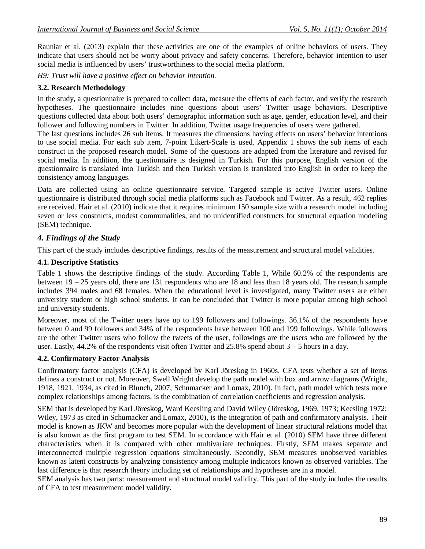Rauniar et al. (2013) explain that these activities are one of the examples of online behaviors of users. They indicate that users should not be worry about privacy and safety concerns. Therefore, behavior intention to user social media is influenced by users' trustworthiness to the social media platform.

*H9: Trust will have a positive effect on behavior intention.* 

#### **3.2. Research Methodology**

In the study, a questionnaire is prepared to collect data, measure the effects of each factor, and verify the research hypotheses. The questionnaire includes nine questions about users' Twitter usage behaviors. Descriptive questions collected data about both users' demographic information such as age, gender, education level, and their follower and following numbers in Twitter. In addition, Twitter usage frequencies of users were gathered.

The last questions includes 26 sub items. It measures the dimensions having effects on users' behavior intentions to use social media. For each sub item, 7-point Likert-Scale is used. Appendix 1 shows the sub items of each construct in the proposed research model. Some of the questions are adapted from the literature and revised for social media. In addition, the questionnaire is designed in Turkish. For this purpose, English version of the questionnaire is translated into Turkish and then Turkish version is translated into English in order to keep the consistency among languages.

Data are collected using an online questionnaire service. Targeted sample is active Twitter users. Online questionnaire is distributed through social media platforms such as Facebook and Twitter. As a result, 462 replies are received. Hair et al. (2010) indicate that it requires minimum 150 sample size with a research model including seven or less constructs, modest communalities, and no unidentified constructs for structural equation modeling (SEM) technique.

## *4. Findings of the Study*

This part of the study includes descriptive findings, results of the measurement and structural model validities.

### **4.1. Descriptive Statistics**

Table 1 shows the descriptive findings of the study. According Table 1, While 60.2% of the respondents are between 19 – 25 years old, there are 131 respondents who are 18 and less than 18 years old. The research sample includes 394 males and 68 females. When the educational level is investigated, many Twitter users are either university student or high school students. It can be concluded that Twitter is more popular among high school and university students.

Moreover, most of the Twitter users have up to 199 followers and followings. 36.1% of the respondents have between 0 and 99 followers and 34% of the respondents have between 100 and 199 followings. While followers are the other Twitter users who follow the tweets of the user, followings are the users who are followed by the user. Lastly,  $44.2\%$  of the respondents visit often Twitter and 25.8% spend about  $3 - 5$  hours in a day.

## **4.2. Confirmatory Factor Analysis**

Confirmatory factor analysis (CFA) is developed by Karl Jöreskog in 1960s. CFA tests whether a set of items defines a construct or not. Moreover, Swell Wright develop the path model with box and arrow diagrams (Wright, 1918, 1921, 1934, as cited in Blunch, 2007; Schumacker and Lomax, 2010). In fact, path model which tests more complex relationships among factors, is the combination of correlation coefficients and regression analysis.

SEM that is developed by Karl Jöreskog, Ward Keesling and David Wiley (Jöreskog, 1969, 1973; Keesling 1972; Wiley, 1973 as cited in Schumacker and Lomax, 2010), is the integration of path and confirmatory analysis. Their model is known as JKW and becomes more popular with the development of linear structural relations model that is also known as the first program to test SEM. In accordance with Hair et al. (2010) SEM have three different characteristics when it is compared with other multivariate techniques. Firstly, SEM makes separate and interconnected multiple regression equations simultaneously. Secondly, SEM measures unobserved variables known as latent constructs by analyzing consistency among multiple indicators known as observed variables. The last difference is that research theory including set of relationships and hypotheses are in a model.

SEM analysis has two parts: measurement and structural model validity. This part of the study includes the results of CFA to test measurement model validity.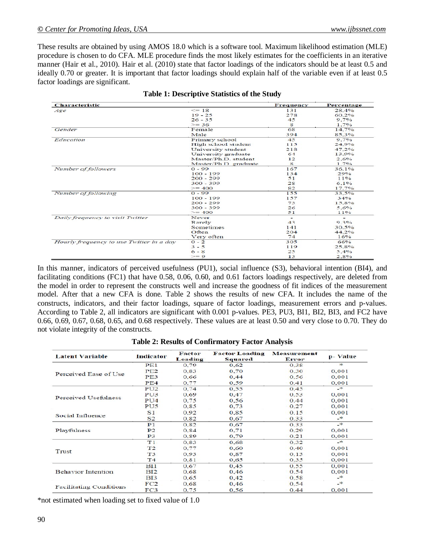These results are obtained by using AMOS 18.0 which is a software tool. Maximum likelihood estimation (MLE) procedure is chosen to do CFA. MLE procedure finds the most likely estimates for the coefficients in an iterative manner (Hair et al., 2010). Hair et al. (2010) state that factor loadings of the indicators should be at least 0.5 and ideally 0.70 or greater. It is important that factor loadings should explain half of the variable even if at least 0.5 factor loadings are significant.

| <b>Characteristic</b>                    |                       | Frequency                | Percentage |
|------------------------------------------|-----------------------|--------------------------|------------|
| Age                                      | $\leq$ 18             | 131                      | 28.4%      |
|                                          | $19 - 25$             | 278                      | 60,2%      |
|                                          | $26 - 35$             | 45                       | $9.7\%$    |
|                                          | $>= 36$               | 8                        | $1.7\%$    |
| Gender                                   | Female                | 68                       | 14,7%      |
|                                          | Male                  | 394                      | 85.3%      |
| Education                                | Primary school        | 45                       | $9.7\%$    |
|                                          | High school student   | 115                      | 24.9%      |
|                                          | University student    | 218                      | 47.2%      |
|                                          | University graduate   | 61                       | 13.9%      |
|                                          | Master/Ph.D. student  | 12                       | 2.6%       |
|                                          | Master/Ph.D. graduate | 8                        | $1.7\%$    |
| Number of followers                      | $0 - 99$              | 167                      | 36.1%      |
|                                          | $100 - 199$           | 134                      | 29%        |
|                                          | $200 - 299$           | 51                       | 11%        |
|                                          | $300 - 399$           | 28                       | 6.1%       |
|                                          | $>= 400$              | 82                       | 17.7%      |
| Number of following                      | $0 - 99$              | 155                      | 33,5%      |
|                                          | $100 - 199$           | 157                      | 34%        |
|                                          | $200 - 299$           | 73                       | 15.8%      |
|                                          | $300 - 399$           | 26                       | 5.6%       |
|                                          | $>= 400$              | 51                       | 11%        |
| Daily frequency to visit Twitter         | Never                 | $\overline{\phantom{a}}$ |            |
|                                          | Rarely                | 43                       | 9.3%       |
|                                          | Sometimes             | 141                      | 30.5%      |
|                                          | Often                 | 204                      | 44.2%      |
|                                          | Very often            | 74                       | $16\%$     |
| Hourly frequency to use Twitter in a day | $0 - 2$               | 305                      | 66%        |
|                                          | $3 - 5$               | 119                      | 25,8%      |
|                                          | $6 - 8$               | 25                       | 5.4%       |
|                                          | $>= 9$                | 13                       | 2.8%       |

| <b>Table 1: Descriptive Statistics of the Study</b> |  |  |  |
|-----------------------------------------------------|--|--|--|
|-----------------------------------------------------|--|--|--|

In this manner, indicators of perceived usefulness (PU1), social influence (S3), behavioral intention (BI4), and facilitating conditions (FC1) that have 0.58, 0.06, 0.60, and 0.61 factors loadings respectively, are deleted from the model in order to represent the constructs well and increase the goodness of fit indices of the measurement model. After that a new CFA is done. Table 2 shows the results of new CFA. It includes the name of the constructs, indicators, and their factor loadings, square of factor loadings, measurement errors and p-values. According to Table 2, all indicators are significant with 0.001 p-values. PE3, PU3, BI1, BI2, BI3, and FC2 have 0.66, 0.69, 0.67, 0.68, 0.65, and 0.68 respectively. These values are at least 0.50 and very close to 0.70. They do not violate integrity of the constructs.

| <b>Latent Variable</b>         | <b>Indicator</b> | Factor<br>Loading | <b>Factor Loading</b><br><b>Squared</b> | Measurement<br>Error | p- Value      |
|--------------------------------|------------------|-------------------|-----------------------------------------|----------------------|---------------|
|                                | PE1              | 0.79              | 0.62                                    | 0.38                 | $\geq$        |
| Perceived Ease of Use          | PE2              | 0,83              | 0.70                                    | 0.30                 | 0,001         |
|                                | PE3              | 0.66              | 0.44                                    | 0.56                 | 0.001         |
|                                | PE4              | 0.77              | 0.59                                    | 0.41                 | 0.001         |
|                                | PU2              | 0.74              | 0.55                                    | 0,45                 | $\rightarrow$ |
| Perceived Usefulness           | PU3              | 0.69              | 0.47                                    | 0,53                 | 0.001         |
|                                | PU4              | 0.75              | 0.56                                    | 0.44                 | 0.001         |
|                                | PU <sub>5</sub>  | 0,85              | 0.73                                    | 0,27                 | 0,001         |
|                                | S <sub>1</sub>   | 0.92              | 0.85                                    | 0,15                 | 0.001         |
| Social Influence               | S <sub>2</sub>   | 0.82              | 0.67                                    | 0.33                 | $\rightarrow$ |
|                                | P <sub>1</sub>   | 0.82              | 0.67                                    | 0.33                 | $\approx$     |
| Playfulness                    | P <sub>2</sub>   | 0.84              | 0.71                                    | 0,29                 | 0.001         |
|                                | P <sub>3</sub>   | 0.89              | 0.79                                    | 0,21                 | 0.001         |
|                                | T1               | 0.83              | 0.68                                    | 0,32                 | $-$           |
|                                | T <sub>2</sub>   | 0.77              | 0.60                                    | 0,40                 | 0.001         |
| Trust                          | T <sub>3</sub>   | 0.93              | 0.87                                    | 0.13                 | 0.001         |
|                                | T <sub>4</sub>   | 0.81              | 0.65                                    | 0,35                 | 0,001         |
|                                | BI1              | 0.67              | 0.45                                    | 0.55                 | 0.001         |
| <b>Behavior Intention</b>      | BI2              | 0.68              | 0.46                                    | 0,54                 | 0.001         |
|                                | <b>BI3</b>       | 0,65              | 0,42                                    | 0,58                 | $\cdot$       |
|                                | FC2              | 0.68              | 0.46                                    | 0.54                 | $\rightarrow$ |
| <b>Facilitating Conditions</b> | FC <sub>3</sub>  | 0.75              | 0.56                                    | 0.44                 | 0.001         |

**Table 2: Results of Confirmatory Factor Analysis**

\*not estimated when loading set to fixed value of 1.0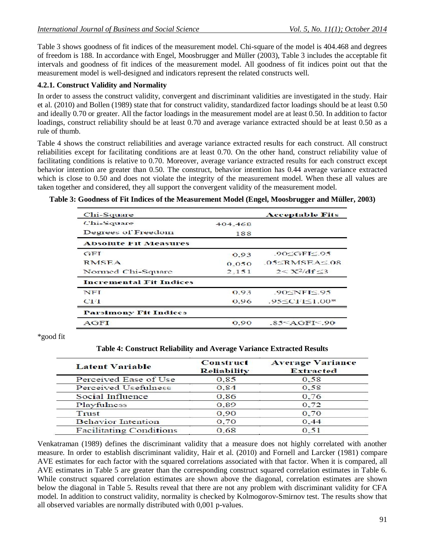Table 3 shows goodness of fit indices of the measurement model. Chi-square of the model is 404.468 and degrees of freedom is 188. In accordance with Engel, Moosbrugger and Müller (2003), Table 3 includes the acceptable fit intervals and goodness of fit indices of the measurement model. All goodness of fit indices point out that the measurement model is well-designed and indicators represent the related constructs well.

### **4.2.1. Construct Validity and Normality**

In order to assess the construct validity, convergent and discriminant validities are investigated in the study. Hair et al. (2010) and Bollen (1989) state that for construct validity, standardized factor loadings should be at least 0.50 and ideally 0.70 or greater. All the factor loadings in the measurement model are at least 0.50. In addition to factor loadings, construct reliability should be at least 0.70 and average variance extracted should be at least 0.50 as a rule of thumb.

Table 4 shows the construct reliabilities and average variance extracted results for each construct. All construct reliabilities except for facilitating conditions are at least 0.70. On the other hand, construct reliability value of facilitating conditions is relative to 0.70. Moreover, average variance extracted results for each construct except behavior intention are greater than 0.50. The construct, behavior intention has 0.44 average variance extracted which is close to 0.50 and does not violate the integrity of the measurement model. When these all values are taken together and considered, they all support the convergent validity of the measurement model.

#### **Table 3: Goodness of Fit Indices of the Measurement Model (Engel, Moosbrugger and Müller, 2003)**

| Chi-Square                     |         | <b>Acceptable Fits</b>       |
|--------------------------------|---------|------------------------------|
| Chi-Square                     | 404.468 |                              |
| Degrees of Freedom             | 188     |                              |
| <b>Absolute Fit Measures</b>   |         |                              |
| GFT                            | 0.93    | $.90 \le GFI \le .95$        |
| <b>RMSEA</b>                   | 0.050   | $.05<$ RMSEA $\leq 08$       |
| Normed Chi-Square              | 2,151   | $2 < X^2/df < 3$             |
| <b>Incremental Fit Indices</b> |         |                              |
| <b>NFI</b>                     | 0.93    | $90 \leq \text{NFI} \leq 95$ |
| CF 1                           | 0.96    | $.95 \leq C11 \leq 1.00$ *   |
| <b>Parsimony Fit Indices</b>   |         |                              |
| <b>AGFI</b>                    | 0.90    | .85 < AGF < .90              |

\*good fit

#### **Table 4: Construct Reliability and Average Variance Extracted Results**

| <b>Latent Variable</b>         | <b>Construct</b><br><b>Reliability</b> | <b>Average Variance</b><br><b>Extracted</b> |
|--------------------------------|----------------------------------------|---------------------------------------------|
| Perceived Ease of Use          | 0.85                                   | 0.58                                        |
| Perceived Usefulness           | 0.84                                   | 0.58                                        |
| Social Influence               | 0,86                                   | 0.76                                        |
| Playfulness                    | 0.89                                   | 0.72                                        |
| Trust                          | 0,90                                   | 0.70                                        |
| <b>Behavior Intention</b>      | 0,70                                   | 0.44                                        |
| <b>Facilitating Conditions</b> | 0.68                                   | 0.51                                        |

Venkatraman (1989) defines the discriminant validity that a measure does not highly correlated with another measure. In order to establish discriminant validity, Hair et al. (2010) and Fornell and Larcker (1981) compare AVE estimates for each factor with the squared correlations associated with that factor. When it is compared, all AVE estimates in Table 5 are greater than the corresponding construct squared correlation estimates in Table 6. While construct squared correlation estimates are shown above the diagonal, correlation estimates are shown below the diagonal in Table 5. Results reveal that there are not any problem with discriminant validity for CFA model. In addition to construct validity, normality is checked by Kolmogorov-Smirnov test. The results show that all observed variables are normally distributed with 0,001 p-values.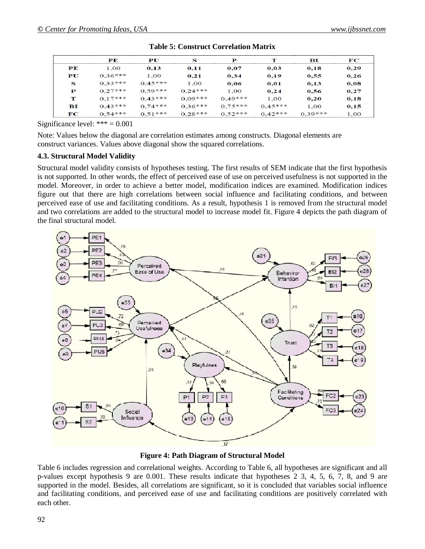|                  | PE        | PU        | S         | Р         | т         | вI        | $_{\rm FC}$ |
|------------------|-----------|-----------|-----------|-----------|-----------|-----------|-------------|
| PE               | 1.00      | 0.13      | 0,11      | 0,07      | 0,03      | 0,18      | 0,29        |
| ${\bf P}{\bf U}$ | $0.36***$ | 1.00      | 0.21      | 0.34      | 0.19      | 0.55      | 0.26        |
| S                | $0.33***$ | $0.45***$ | 1,00      | 0,06      | 0.01      | 0,13      | 0.08        |
| P                | $0.27***$ | $0.59***$ | $0.24***$ | 1.00      | 0.24      | 0.56      | 0.27        |
| т                | $0.17***$ | $0.43***$ | $0.09***$ | $0.49***$ | 1.00      | 0,20      | 0.18        |
| вI               | $0.43***$ | $0.74***$ | $0.36***$ | $0.75***$ | $0.45***$ | 1.00      | 0,15        |
| FC               | $0.54***$ | $0.51***$ | $0.28***$ | $0.52***$ | $0.42***$ | $0.39***$ | 1.00        |

|  |  | <b>Table 5: Construct Correlation Matrix</b> |
|--|--|----------------------------------------------|
|--|--|----------------------------------------------|

Significance level:  $*** = 0.001$ 

Note: Values below the diagonal are correlation estimates among constructs. Diagonal elements are construct variances. Values above diagonal show the squared correlations.

### **4.3. Structural Model Validity**

Structural model validity consists of hypotheses testing. The first results of SEM indicate that the first hypothesis is not supported. In other words, the effect of perceived ease of use on perceived usefulness is not supported in the model. Moreover, in order to achieve a better model, modification indices are examined. Modification indices figure out that there are high correlations between social influence and facilitating conditions, and between perceived ease of use and facilitating conditions. As a result, hypothesis 1 is removed from the structural model and two correlations are added to the structural model to increase model fit. Figure 4 depicts the path diagram of the final structural model.



**Figure 4: Path Diagram of Structural Model**

Table 6 includes regression and correlational weights. According to Table 6, all hypotheses are significant and all p-values except hypothesis 9 are 0.001. These results indicate that hypotheses 2 3, 4, 5, 6, 7, 8, and 9 are supported in the model. Besides, all correlations are significant, so it is concluded that variables social influence and facilitating conditions, and perceived ease of use and facilitating conditions are positively correlated with each other.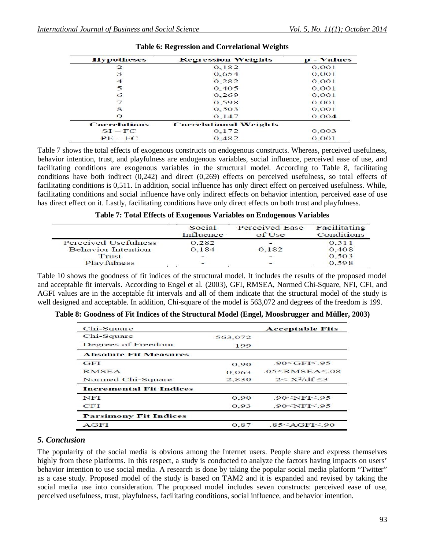| <b>Hypotheses</b>   | <b>Regression Weights</b>    | $\mathbf{p}$ - Values |
|---------------------|------------------------------|-----------------------|
| 2                   | 0.182                        | 0.001                 |
| з                   | 0.654                        | 0,001                 |
| 4                   | 0.282                        | 0.001                 |
| 5                   | 0,405                        | 0.001                 |
| 6                   | 0.269                        | 0.001                 |
|                     | 0.598                        | 0.001                 |
| 8                   | 0.503                        | 0.001                 |
| 9                   | 0.147                        | 0,004                 |
| <b>Correlations</b> | <b>Correlational Weights</b> |                       |
| $SI - FC$           | 0,172                        | 0,003                 |
| $PE-FC$             | 0.482                        | 0.001                 |

**Table 6: Regression and Correlational Weights**

Table 7 shows the total effects of exogenous constructs on endogenous constructs. Whereas, perceived usefulness, behavior intention, trust, and playfulness are endogenous variables, social influence, perceived ease of use, and facilitating conditions are exogenous variables in the structural model. According to Table 8, facilitating conditions have both indirect (0,242) and direct (0,269) effects on perceived usefulness, so total effects of facilitating conditions is 0,511. In addition, social influence has only direct effect on perceived usefulness. While, facilitating conditions and social influence have only indirect effects on behavior intention, perceived ease of use has direct effect on it. Lastly, facilitating conditions have only direct effects on both trust and playfulness.

| Table 7: Total Effects of Exogenous Variables on Endogenous Variables |  |  |
|-----------------------------------------------------------------------|--|--|
|-----------------------------------------------------------------------|--|--|

|                           | Social<br>Influence | Perceived Ease<br>of Use | Facilitating<br>Conditions |
|---------------------------|---------------------|--------------------------|----------------------------|
| Perceived Usefulness      | 0.282               |                          | 0.511                      |
| <b>Behavior</b> Intention | 0.184               | 0.182                    | 0.408                      |
| Trust                     | -                   | $-$                      | 0.503                      |
| Playfulness               |                     | $-$                      | 0.598                      |

Table 10 shows the goodness of fit indices of the structural model. It includes the results of the proposed model and acceptable fit intervals. According to Engel et al. (2003), GFI, RMSEA, Normed Chi-Square, NFI, CFI, and AGFI values are in the acceptable fit intervals and all of them indicate that the structural model of the study is well designed and acceptable. In addition, Chi-square of the model is 563,072 and degrees of the freedom is 199.

|  |  | Table 8: Goodness of Fit Indices of the Structural Model (Engel, Moosbrugger and Müller, 2003) |  |  |
|--|--|------------------------------------------------------------------------------------------------|--|--|
|--|--|------------------------------------------------------------------------------------------------|--|--|

| Chi-Square                     |         | <b>Acceptable Fits</b>     |
|--------------------------------|---------|----------------------------|
| Chi-Square                     | 563,072 |                            |
| Degrees of Freedom             | 199     |                            |
| <b>Absolute Fit Measures</b>   |         |                            |
| GFT                            | 0.90    | $.90 \le GF \le 95$        |
| <b>RMSEA</b>                   | 0.063   | $.05<$ RMSEA $\leq 08$     |
| Normed Chi-Square              | 2,830   | $2 < X^2/\mathrm{df} < 3$  |
| <b>Incremental Fit Indices</b> |         |                            |
| <b>NFI</b>                     | 0.90    | $.90<$ NFI $\leq$ 95       |
| <b>CFT</b>                     | 0.93    | .90 $\leq$ NFI $\leq$ .95  |
| <b>Parsimony Fit Indices</b>   |         |                            |
| AGFI                           | 0.87    | $.85 \leq$ AGFI $\leq$ .90 |

## *5. Conclusion*

The popularity of the social media is obvious among the Internet users. People share and express themselves highly from these platforms. In this respect, a study is conducted to analyze the factors having impacts on users' behavior intention to use social media. A research is done by taking the popular social media platform "Twitter" as a case study. Proposed model of the study is based on TAM2 and it is expanded and revised by taking the social media use into consideration. The proposed model includes seven constructs: perceived ease of use, perceived usefulness, trust, playfulness, facilitating conditions, social influence, and behavior intention.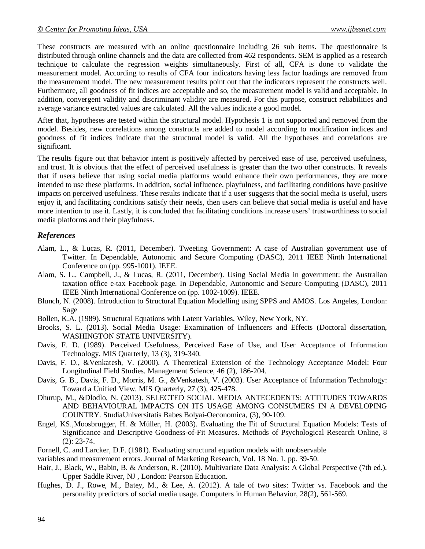These constructs are measured with an online questionnaire including 26 sub items. The questionnaire is distributed through online channels and the data are collected from 462 respondents. SEM is applied as a research technique to calculate the regression weights simultaneously. First of all, CFA is done to validate the measurement model. According to results of CFA four indicators having less factor loadings are removed from the measurement model. The new measurement results point out that the indicators represent the constructs well. Furthermore, all goodness of fit indices are acceptable and so, the measurement model is valid and acceptable. In addition, convergent validity and discriminant validity are measured. For this purpose, construct reliabilities and average variance extracted values are calculated. All the values indicate a good model.

After that, hypotheses are tested within the structural model. Hypothesis 1 is not supported and removed from the model. Besides, new correlations among constructs are added to model according to modification indices and goodness of fit indices indicate that the structural model is valid. All the hypotheses and correlations are significant.

The results figure out that behavior intent is positively affected by perceived ease of use, perceived usefulness, and trust. It is obvious that the effect of perceived usefulness is greater than the two other constructs. It reveals that if users believe that using social media platforms would enhance their own performances, they are more intended to use these platforms. In addition, social influence, playfulness, and facilitating conditions have positive impacts on perceived usefulness. These results indicate that if a user suggests that the social media is useful, users enjoy it, and facilitating conditions satisfy their needs, then users can believe that social media is useful and have more intention to use it. Lastly, it is concluded that facilitating conditions increase users' trustworthiness to social media platforms and their playfulness.

## *References*

- Alam, L., & Lucas, R. (2011, December). Tweeting Government: A case of Australian government use of Twitter. In Dependable, Autonomic and Secure Computing (DASC), 2011 IEEE Ninth International Conference on (pp. 995-1001). IEEE.
- Alam, S. L., Campbell, J., & Lucas, R. (2011, December). Using Social Media in government: the Australian taxation office e-tax Facebook page. In Dependable, Autonomic and Secure Computing (DASC), 2011 IEEE Ninth International Conference on (pp. 1002-1009). IEEE.
- Blunch, N. (2008). Introduction to Structural Equation Modelling using SPPS and AMOS. Los Angeles, London: Sage
- Bollen, K.A. (1989). Structural Equations with Latent Variables, Wiley, New York, NY.
- Brooks, S. L. (2013). Social Media Usage: Examination of Influencers and Effects (Doctoral dissertation, WASHINGTON STATE UNIVERSITY).
- Davis, F. D. (1989). Perceived Usefulness, Perceived Ease of Use, and User Acceptance of Information Technology. MIS Quarterly, 13 (3), 319-340.
- Davis, F. D., &Venkatesh, V. (2000). A Theoretical Extension of the Technology Acceptance Model: Four Longitudinal Field Studies. Management Science, 46 (2), 186-204.
- Davis, G. B., Davis, F. D., Morris, M. G., &Venkatesh, V. (2003). User Acceptance of Information Technology: Toward a Unified View. MIS Quarterly, 27 (3), 425-478.
- Dhurup, M., &Dlodlo, N. (2013). SELECTED SOCIAL MEDIA ANTECEDENTS: ATTITUDES TOWARDS AND BEHAVIOURAL IMPACTS ON ITS USAGE AMONG CONSUMERS IN A DEVELOPING COUNTRY. StudiaUniversitatis Babes Bolyai-Oeconomica, (3), 90-109.
- Engel, KS.,Moosbrugger, H. & Müller, H. (2003). Evaluating the Fit of Structural Equation Models: Tests of Significance and Descriptive Goodness-of-Fit Measures. Methods of Psychological Research Online, 8 (2): 23-74.
- Fornell, C. and Larcker, D.F. (1981). Evaluating structural equation models with unobservable
- variables and measurement errors. Journal of Marketing Research, Vol. 18 No. 1, pp. 39-50.
- Hair, J., Black, W., Babin, B. & Anderson, R. (2010). Multivariate Data Analysis: A Global Perspective (7th ed.). Upper Saddle River, NJ , London: Pearson Education.
- Hughes, D. J., Rowe, M., Batey, M., & Lee, A. (2012). A tale of two sites: Twitter vs. Facebook and the personality predictors of social media usage. Computers in Human Behavior, 28(2), 561-569.